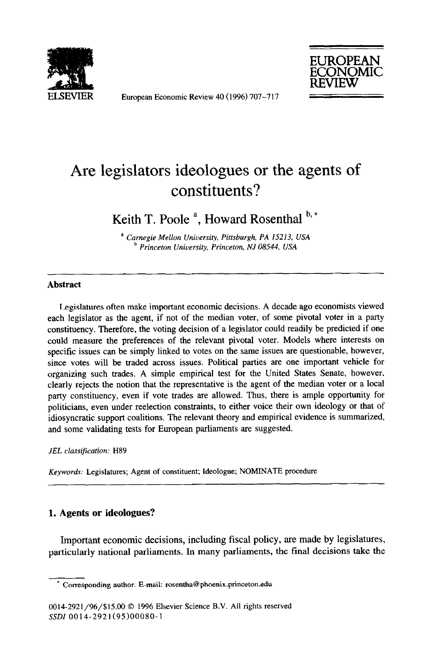

European Economic Review 40 (1996) 707-717



# Are legislators ideologues or the agents of constituents?

Keith T. Poole<sup>a</sup>, Howard Rosenthal  $b$ ,\*

a *Carnegie Mellon University, Pittsburgh, PA 15213, USA b Princeton Uniuersity, Princeton, NJ 08544, USA* 

### **Abstract**

Legislatures often make important economic decisions. A decade ago economists viewed each legislator as the agent, if not of the median voter, of some pivotal voter in a party constituency. Therefore, the voting decision of a legislator could readily be predicted if one could measure the preferences of the relevant pivotal voter. Models where interests on specific issues can be simply linked to votes on the same issues are questionable, however, since votes will be traded across issues. Political parties are one important vehicle for organizing such trades. A simple empirical test for the United States Senate, however, clearly rejects the notion that the representative is the agent of the median voter or a local party constituency, even if vote trades are allowed. Thus, there is ample opportunity for politicians, even under reelection constraints, to either voice their own ideology or that of idiosyncratic support coalitions. The relevant theory and empirical evidence is summarized, and some validating tests for European parliaments are suggested.

#### *JEL classification:* H89

Keywords: Legislatures; Agent of constituent; Ideologue; NOMINATE procedure

## 1. **Agents or ideologues?**

Important economic decisions, including fiscal policy, are made by legislatures, particularly national parliaments. In many parliaments, the final decisions take the

<sup>\*</sup> Corresponding author. E-mail: rosentha@phoenix.princeton.edu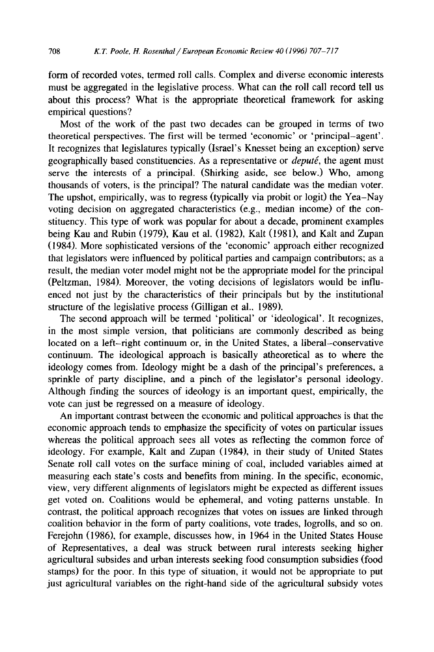form of recorded votes, termed roll calls. Complex and diverse economic interests must be aggregated in the legislative process. What can the roll call record tell us about this process? What is the appropriate theoretical framework for asking empirical questions?

Most of the work of the past two decades can be grouped in terms of two theoretical perspectives. The first will be termed 'economic' or 'principal-agent'. It recognizes that legislatures typically (Israel's Knesset being an exception) serve geographically based constituencies. As a representative or *depute',* the agent must serve the interests of a principal, (Shirking aside, see below.) Who, among thousands of voters, is the principal? The natural candidate was the median voter. The upshot, empirically, was to regress (typically via probit or logit) the Yea-Nay voting decision on aggregated characteristics (e.g., median income) of the constituency. This type of work was popular for about a decade, prominent examples being Kau and Rubin (1979), Kau et al. (1982), Kalt (1981), and Kalt and Zupan (1984). More sophisticated versions of the 'economic' approach either recognized that legislators were influenced by political parties and campaign contributors; as a result, the median voter model might not be the appropriate model for the principal (Peltzman, 1984). Moreover, the voting decisions of legislators would be influenced not just by the characteristics of their principals but by the institutional structure of the legislative process (Gilligan et al., 1989).

The second approach will be termed 'political' or 'ideological'. It recognizes, in the most simple version, that politicians are commonly described as being located on a left-right continuum or, in the United States, a liberal-conservative continuum. The ideological approach is basically atheoretical as to where the ideology comes from. Ideology might be a dash of the principal's preferences, a sprinkle of party discipline, and a pinch of the legislator's personal ideology. Although finding the sources of ideology is an important quest, empirically, the vote can just be regressed on a measure of ideology.

An important contrast between the economic and political approaches is that the economic approach tends to emphasize the specificity of votes on particular issues whereas the political approach sees all votes as reflecting the common force of ideology. For example, Kalt and Zupan (1984), in their study of United States Senate roll call votes on the surface mining of coal, included variables aimed at measuring each state's costs and benefits from mining. In the specific, economic, view, very different alignments of legislators might be expected as different issues get voted on. Coalitions would be ephemeral, and voting patterns unstable. In contrast, the political approach recognizes that votes on issues are linked through coalition behavior in the form of party coalitions, vote trades, logrolls, and so on. Ferejohn (1986), for example, discusses how, in 1964 in the United States House of Representatives, a deal was struck between rural interests seeking higher agricultural subsides and urban interests seeking food consumption subsidies (food stamps) for the poor. In this type of situation, it would not be appropriate to put just agricultural variables on the right-hand side of the agricultural subsidy votes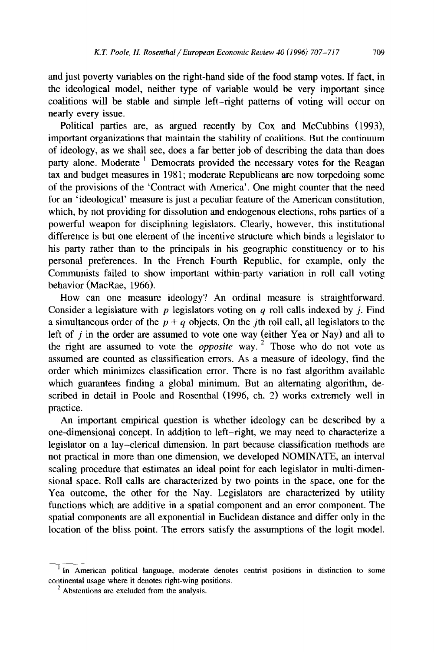and just poverty variables on the right-hand side of the food stamp votes. If fact, in the ideological model, neither type of variable would be very important since coalitions will be stable and simple left-right patterns of voting will occur on nearly every issue.

Political parties are, as argued recently by Cox and McCubbins (1993), important organizations that maintain the stability of coalitions. But the continuum of ideology, as we shall see, does a far better job of describing the data than does party alone. Moderate <sup>1</sup> Democrats provided the necessary votes for the Reagan tax and budget measures in 1981; moderate Republicans are now torpedoing some of the provisions of the 'Contract with America'. One might counter that the need for an 'ideological' measure is just a peculiar feature of the American constitution, which, by not providing for dissolution and endogenous elections, robs parties of a powerful weapon for disciplining legislators. Clearly, however, this institutional difference is but one element of the incentive structure which binds a legislator to his party rather than to the principals in his geographic constituency or to his personal preferences. In the French Fourth Republic, for example, only the Communists failed to show important within-party variation in roll call voting behavior (MacRae, 1966).

How can one measure ideology? An ordinal measure is straightforward. Consider a legislature with  $p$  legislators voting on  $q$  roll calls indexed by  $j$ . Find a simultaneous order of the  $p + q$  objects. On the *j*th roll call, all legislators to the left of  $j$  in the order are assumed to vote one way (either Yea or Nay) and all to the right are assumed to vote the *opposite* way. ' Those who do not vote as assumed are counted as classification errors. As a measure of ideology, find the order which minimizes classification error. There is no fast algorithm available which guarantees finding a global minimum. But an alternating algorithm, described in detail in Poole and Rosenthal (1996, ch. 2) works extremely well in practice.

An important empirical question is whether ideology can be described by a one-dimensional concept. In addition to left-right, we may need to characterize a legislator on a lay-clerical dimension. In part because classification methods are not practical in more than one dimension, we developed NOMINATE, an interval scaling procedure that estimates an ideal point for each legislator in muiti-dimensional space. Roll calls are characterized by two points in the space, one for the Yea outcome, the other for the Nay. Legislators are characterized by utility functions which are additive in a spatial component and an error component. The spatial components are all exponential in Euclidean distance and differ only in the location of the bliss point. The errors satisfy the assumptions of the logit model.

In American political language, moderate denotes centrist positions in distinction to some continental usage where it denotes right-wing positions.

 $<sup>2</sup>$  Abstentions are excluded from the analysis.</sup>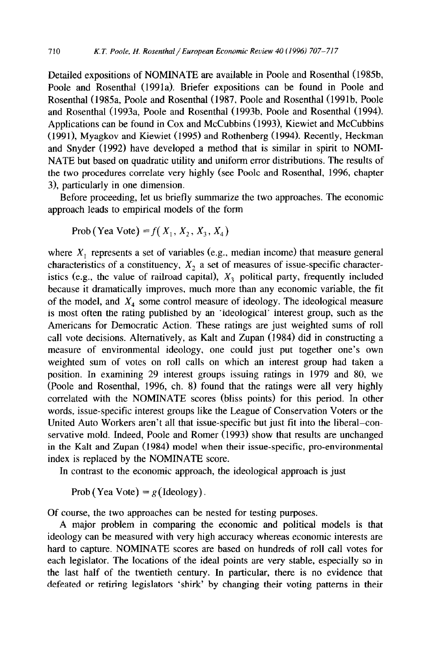Detailed expositions of NOMINATE are available in Poole and Rosenthal (1985b, Poole and Rosenthal (1991a). Briefer expositions can be found in Poole and Rosenthal (1985a, Poole and Rosenthal (1987, Poole and Rosenthal (1991b, Poole and Rosenthal (1993a, Poole and Rosenthal (1993b, Poole and Rosenthal (1994). Applications can be found in Cox and McCubbins (1993), Kiewiet and McCubbins (1991), Myagkov and Kiewiet (1995) and Rothenberg (1994). Recently, Heckman and Snyder (1992) have developed a method that is similar in spirit to NOMI-NATE but based on quadratic utility and uniform error distributions. The results of the two procedures correlate very highly (see Poole and Rosenthal, 1996, chapter 3), particularly in one dimension.

Before proceeding, let us briefly summarize the two approaches. The economic approach leads to empirical models of the form

Prob (Yea Vote) = 
$$
f(X_1, X_2, X_3, X_4)
$$

where  $X_1$  represents a set of variables (e.g., median income) that measure general characteristics of a constituency,  $X_2$  a set of measures of issue-specific characteristics (e.g., the value of railroad capital),  $X<sub>3</sub>$  political party, frequently included because it dramatically improves, much more than any economic variable, the fit of the model, and  $X_4$  some control measure of ideology. The ideological measure is most often the rating published by an 'ideological' interest group, such as the Americans for Democratic Action. These ratings are just weighted sums of roll call vote decisions. Alternatively, as Kalt and Zupan (1984) did in constructing a measure of environmental ideology, one could just put together one's own weighted sum of votes on roll calls on which an interest group had taken a position. In examining 29 interest groups issuing ratings in 1979 and 80, we (Poole and Rosenthal, 1996, ch. 8) found that the ratings were all very highly correlated with the NOMINATE scores (bliss points) for this period. In other words, issue-specific interest groups like the League of Conservation Voters or the United Auto Workers aren't all that issue-specific but just fit into the liberal-conservative mold. Indeed, Poole and Romer (1993) show that results are unchanged in the Kalt and Zupan (1984) model when their issue-specific, pro-environmental index is replaced by the NOMINATE score.

In contrast to the economic approach, the ideological approach is just

Prob (Yea Vote) =  $g$  (Ideology).

Of course, the two approaches can be nested for testing purposes.

A major problem in comparing the economic and political models is that ideology can be measured with very high accuracy whereas economic interests are hard to capture. NOMINATE scores are based on hundreds of roll call votes for each legislator. The locations of the ideal points are very stable, especially so in the last half of the twentieth century. In particular, there is no evidence that defeated or retiring legislators 'shirk' by changing their voting patterns in their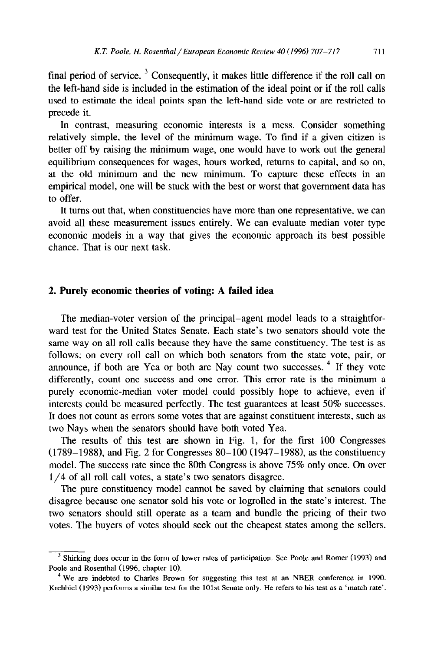final period of service.  $3$  Consequently, it makes little difference if the roll call on the left-hand side is included in the estimation of the ideal point or if the roll calls used to estimate the ideal points span the left-hand side vote or are restricted to precede it.

In contrast, measuring economic interests is a mess. Consider something relatively simple, the level of the minimum wage. To find if a given citizen is better off by raising the minimum wage, one would have to work out the general equilibrium consequences for wages, hours worked, returns to capital, and so on, at the old minimum and the new minimum. To capture these effects in an empirical model, one will be stuck with the best or worst that government data has to offer.

It turns out that, when constituencies have more than one representative, we can avoid all these measurement issues entirely. We can evaluate median voter type economic models in a way that gives the economic approach its best possible chance. That is our next task.

## 2. **Purely economic theories of voting: A failed idea**

The median-voter version of the principal-agent model leads to a straightforward test for the United States Senate. Each state's two senators should vote the same way on all roll calls because they have the same constituency. The test is as follows: on every roll call on which both senators from the state vote, pair, or announce, if both are Yea or both are Nay count two successes.<sup>4</sup> If they vote differently, count one success and one error. This error rate is the minimum a purely economic-median voter model could possibly hope to achieve, even if interests could be measured perfectly. The test guarantees at least 50% successes. It does not count as errors some votes that are against constituent interests, such as two Nays when the senators should have both voted Yea.

The results of this test are shown in Fig. 1, for the first 100 Congresses (1789-1988), and Fig. 2 for Congresses  $80-100$  (1947-1988), as the constituency model. The success rate since the 80th Congress is above 75% only once. On over l/4 of all roll call votes, a state's two senators disagree.

The pure constituency model cannot be saved by claiming that senators could disagree because one senator sold his vote or logrolled in the state's interest. The two senators should still operate as a team and bundle the pricing of their two votes. The buyers of votes should seek out the cheapest states among the sellers.

<sup>&</sup>lt;sup>3</sup> Shirking does occur in the form of lower rates of participation. See Poole and Romer (1993) and Poole and Rosenthal (1996, chapter IO).

<sup>4</sup> We are indebted to Charles Brown for suggesting this test at an NBER conference in 1990. Krehbiel (1993) performs a similar test for the 101st Senate only. He refers to his test as a 'match rate'.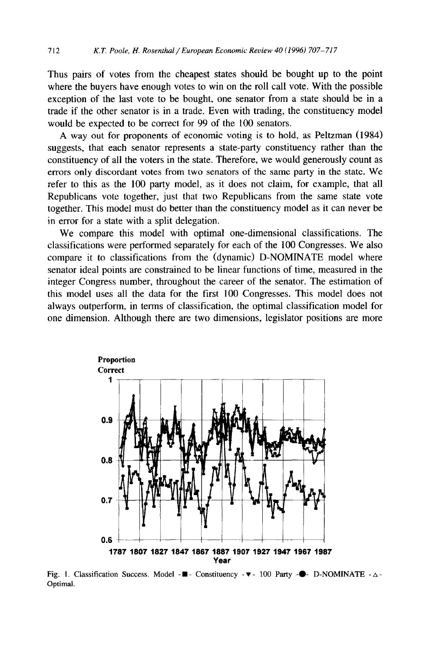Thus pairs of votes from the cheapest states should be bought up to the point where the buyers have enough votes to win on the roll call vote. With the possible exception of the last vote to be bought, one senator from a state should be in a trade if the other senator is in a trade. Even with trading, the constituency model would be expected to be correct for 99 of the 100 senators.

A way out for proponents of economic voting is to hold, as Peltzman (1984) suggests, that each senator represents a state-party constituency rather than the constituency of all the voters in the state. Therefore, we would generously count as errors only discordant votes from two senators of the same party in the state. We refer to this as the 100 party model, as it does not claim, for example, that all Republicans vote together, just that two Republicans from the same state vote together. This model must do better than the constituency model as it can never be in error for a state with a split delegation.

We compare this model with optimal one-dimensional classifications. The classifications were performed separately for each of the 100 Congresses. We also compare it to classifications from the (dynamic) D-NOMINATE model where senator ideal points are constrained to be linear functions of time, measured in the integer Congress number, throughout the career of the senator. The estimation of this model uses all the data for the first 100 Congresses. This model does not always outperform, in terms of classification, the optimal classification model for one dimension. Although there are two dimensions, legislator positions are more



Fig. 1. Classification Success. Model  $-\blacksquare$ - Constituency  $-\blacktriangledown$ - 100 Party  $-\blacksquare$ - D-NOMINATE  $-\triangle$ -Optimal.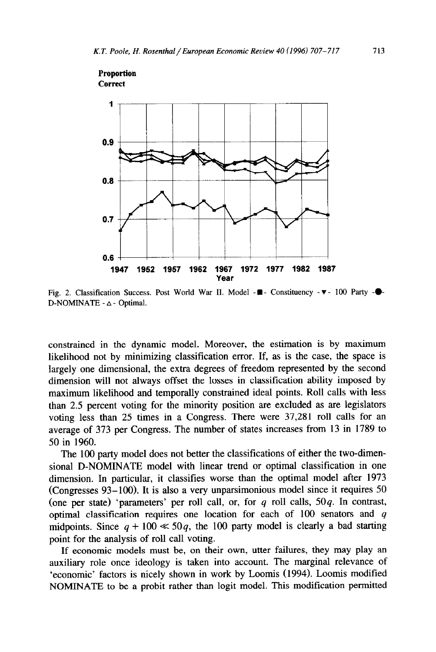

Fig. 2. Classification Success. Post World War II. Model -  $\blacksquare$ - Constituency -  $\blacktriangledown$ - 100 Party - $\blacklozenge$ -D-NOMINATE - **A -** Optimal.

constrained in the dynamic model. Moreover, the estimation is by maximum likelihood not by minimizing classification error. If, as is the case, the space is largely one dimensional, the extra degrees of freedom represented by the second dimension will not always offset the losses in classification ability imposed by maximum likelihood and temporally constrained ideal points. Roll calls with less than 2.5 percent voting for the minority position are excluded as are legislators voting less than 25 times in a Congress. There were 37,281 roll calls for an average of 373 per Congress. The number of states increases from 13 in 1789 to 50 in 1960.

The 100 party model does not better the classifications of either the two-dimensional D-NOMINATE model with linear trend or optimal classification in one dimension. In particular, it classifies worse than the optimal model after 1973 (Congresses 93-100). It is also a very unparsimonious model since it requires 50 (one per state) 'parameters' per roll call, or, for *q* roll calls, *50q.* In contrast, optimal classification requires one location for each of 100 senators and *q*  midpoints. Since  $q + 100 \ll 50q$ , the 100 party model is clearly a bad starting point for the analysis of roll call voting.

If economic models must be, on their own, utter failures, they may play an auxiliary role once ideology is taken into account. The marginal relevance of 'economic' factors is nicely shown in work by Loomis (1994). Loomis modified NOMINATE to be a probit rather than logit model. This modification permitted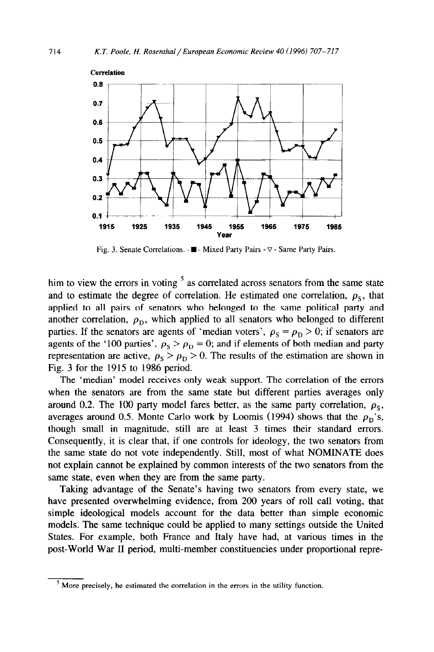

Fig. 3. Senate Correlations. -W Mixed Party Pairs - **v -** Same Party Pairs.

him to view the errors in voting  $<sup>5</sup>$  as correlated across senators from the same state</sup> and to estimate the degree of correlation. He estimated one correlation,  $\rho_{\rm s}$ , that applied to all pairs of senators who belonged to the same political party and another correlation,  $\rho_{\rm D}$ , which applied to all senators who belonged to different parties. If the senators are agents of 'median voters',  $\rho_s = \rho_p > 0$ ; if senators are agents of the '100 parties',  $\rho_s > \rho_p = 0$ ; and if elements of both median and party representation are active,  $\rho_s > \rho_p > 0$ . The results of the estimation are shown in Fig. 3 for the 1915 to 1986 period.

The 'median' model receives only weak support, The correlation of the errors when the senators are from the same state but different parties averages only around 0.2. The 100 party model fares better, as the same party correlation,  $\rho_s$ , averages around 0.5. Monte Carlo work by Loomis (1994) shows that the  $\rho_D$ 's, though small in magnitude, still are at least 3 times their standard errors. Consequently, it is clear that, if one controls for ideology, the two senators from the same state do not vote independently. Still, most of what NOMINATE does not explain cannot be explained by common interests of the two senators from the same state, even when they are from the same party.

Taking advantage of the Senate's having two senators from every state, we have presented overwhelming evidence, from 200 years of roll call voting, that simple ideological models account for the data better than simple economic models. The same technique could be applied to many settings outside the United States. For example, both France and Italy have had, at various times in the post-World War II period, multi-member constituencies under proportional repre-

 $<sup>5</sup>$  More precisely, he estimated the correlation in the errors in the utility function.</sup>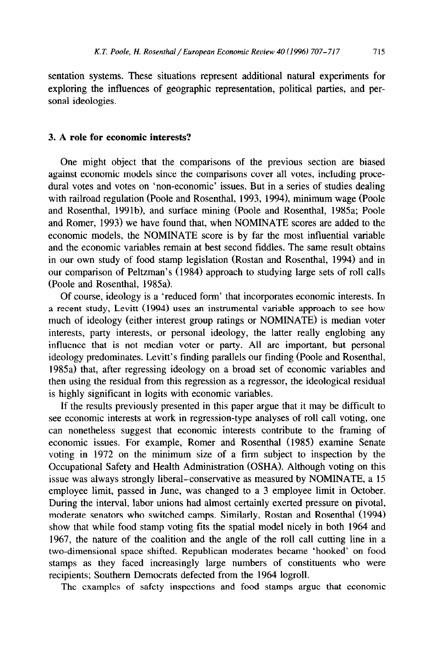sentation systems. These situations represent additional natural experiments for exploring the influences of geographic representation, political parties, and personal ideologies.

#### 3. A **role for economic interests?**

One might object that the comparisons of the previous section are biased against economic models since the comparisons cover all votes, including procedural votes and votes on 'non-economic' issues. But in a series of studies dealing with railroad regulation (Poole and Rosenthal, 1993, 1994), minimum wage (Poole and Rosenthal, 1991b), and surface mining (Poole and Rosenthal, 1985a; Poole and Romer, 1993) we have found that, when NOMINATE scores are added to the economic models, the NOMINATE score is by far the most influential variable and the economic variables remain at best second fiddles. The same result obtains in our own study of food stamp legislation (Rostan and Rosenthal, 1994) and in our comparison of Peltzman's (1984) approach to studying large sets of roll calls (Poole and Rosenthal, 1985a).

Of course, ideology is a 'reduced form' that incorporates economic interests. In a recent study, Levitt (1994) uses an instrumental variable approach to see how much of ideology (either interest group ratings or NOMINATE) is median voter interests, party interests, or personal ideology, the latter really englobing any influence that is not median voter or party. All are important, but personal ideology predominates. Levitt's finding parallels our finding (Poole and Rosenthal, 1985a) that, after regressing ideology on a broad set of economic variables and then using the residual from this regression as a regressor, the ideological residual is highly significant in logits with economic variables.

If the results previously presented in this paper argue that it may be difficult to see economic interests at work in regression-type analyses of roll call voting, one can nonetheless suggest that economic interests contribute to the framing of economic issues. For example, Romer and Rosenthal (1985) examine Senate voting in 1972 on the minimum size of a firm subject to inspection by the Occupational Safety and Health Administration (OSHA). Although voting on this issue was always strongly liberal-conservative as measured by NOMINATE, a 15 employee limit, passed in June, was changed to a 3 employee limit in October. During the interval, labor unions had almost certainly exerted pressure on pivotal, moderate senators who switched camps. Similarly, Rostan and Rosenthal (1994) show that while food stamp voting fits the spatial model nicely in both 1964 and 1967, the nature of the coalition and the angle of the roll call cutting line in a two-dimensional space shifted. Republican moderates became 'hooked' on food stamps as they faced increasingly large numbers of constituents who were recipients; Southern Democrats defected from the 1964 logroll.

The examples of safety inspections and food stamps argue that economic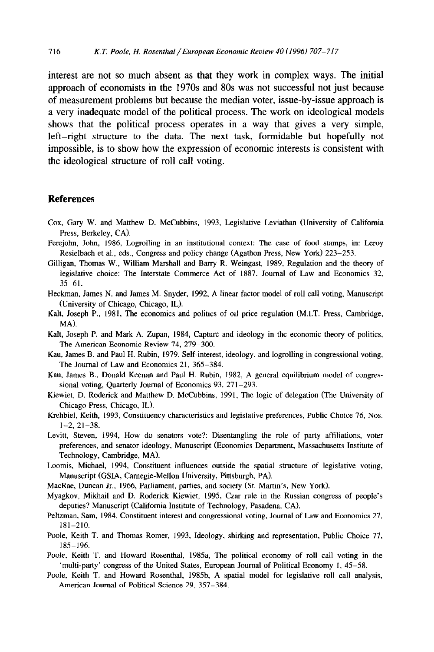interest are not so much absent as that they work in complex ways. The initial approach of economists in the 1970s and 80s was not successful not just because of measurement problems but because the median voter, issue-by-issue approach is a very inadequate model of the political process. The work on ideological models shows that the political process operates in a way that gives a very simple, left-right structure to the data. The next task, formidable but hopefully not impossible, is to show how the expression of economic interests is consistent with the ideological structure of roll call voting.

### **References**

- Cox, Gary W. and Matthew D. McCubbins, 1993, Legislative Leviathan (University of California Press, Berkeley, CA).
- Ferejohn, John, 1986, Logrolling in an institutional context: The case of food stamps, in: Leroy Resielbach et al., eds., Congress and policy change (Agathon Press, New York) 223-253.
- Gilligan, Thomas W., William Marshall and Barry R. Weingast, 1989, Regulation and the theory of legislative choice: The Interstate Commerce Act of 1887. Journal of Law and Economics 32, 35-61.
- Heckman, James N. and James M. Snyder, 1992, A linear factor model of roll call voting, Manuscript (University of Chicago, Chicago, IL).
- Kalt, Joseph P., 1981, The economics and politics of oil price regulation (MIT. Press, Cambridge, MA).
- Kalt, Joseph P. and Mark A. Zupan, 1984, Capture and ideology in the economic theory of politics, The American Economic Review 74, 279-300.
- Kau, James B. and Paul H. Rubin, 1979, Self-interest, ideology. and logrolling in congressional voting, The Journal of Law and Economics 21, 365-384.
- Kau, James B.. Donald Keenan and Paul H. Rubin, 1982, A general equilibrium model of congressional voting, Quarterly Journal of Economics 93. 271-293.
- Kiewiet, D. Roderick and Matthew D. McCubbins, 1991, The logic of delegation (The University of Chicago Press, Chicago. IL).
- Krehbiel, Keith, 1993, Constituency characteristics and legislative preferences, Public Choice 76, Nos. l-2, 21-38.
- Levitt, Steven, 1994, How do senators vote?: Disentangling the role of party affiliations, voter preferences, and senator ideology, Manuscript (Economics Department, Massachusetts Institute of Technology, Cambridge, MA).
- Loomis, Michael, 1994, Constituent influences outside the spatial structure of legislative voting, Manuscript (GSIA, Carnegie-Mellon University, Pittsburgh, PA).
- MacRae, Duncan Jr., 1966, Parliament, parties, and society (St. Martin's, New York).
- Myagkov, Mikhail and D. Roderick Kiewiet, 1995, Czar rule in the Russian congress of people's deputies? Manuscript (California Institute of Technology, Pasadena, CA).
- Peltzman, Sam, 1984, Constituent interest and congressional voting, Journal of Law and Economics 27, 181-210.
- Poole. Keith T. and Thomas Romer, 1993, Ideology. shirking and representation, Public Choice 77, 185-196.
- Poole, Keith T. and Howard Rosenthal, 1985a, The political economy of roll call voting in the 'multi-party' congress of the United States, European Journal of Political Economy 1, 45-58.
- Poole, Keith T. and Howard Rosenthal, 1985b, A spatial model for legislative roll call analysis, American Journal of Political Science 29, 357-384.